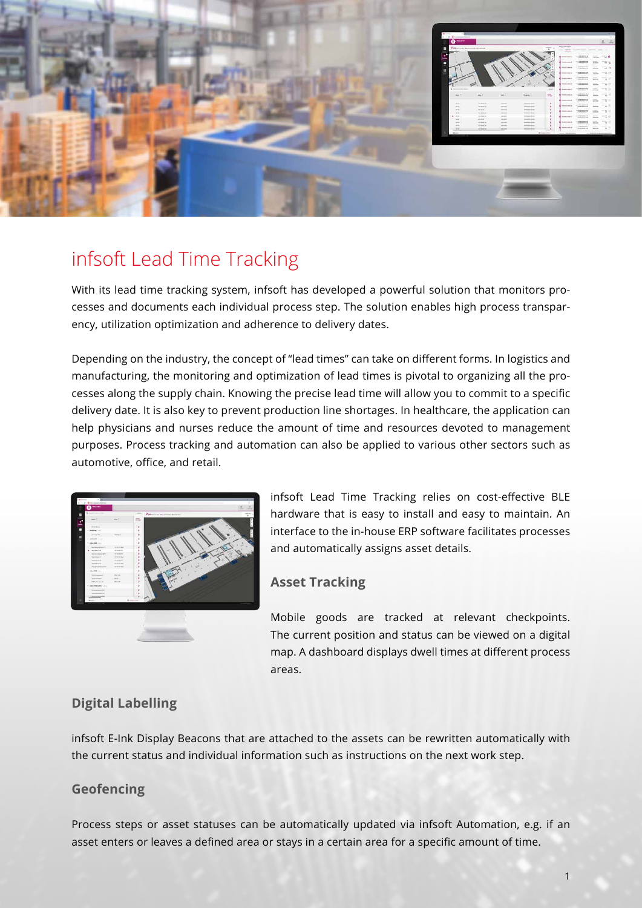

# infsoft Lead Time Tracking

With its lead time tracking system, infsoft has developed a powerful solution that monitors processes and documents each individual process step. The solution enables high process transparency, utilization optimization and adherence to delivery dates.

Depending on the industry, the concept of "lead times" can take on different forms. In logistics and manufacturing, the monitoring and optimization of lead times is pivotal to organizing all the processes along the supply chain. Knowing the precise lead time will allow you to commit to a specific delivery date. It is also key to prevent production line shortages. In healthcare, the application can help physicians and nurses reduce the amount of time and resources devoted to management purposes. Process tracking and automation can also be applied to various other sectors such as automotive, office, and retail.



infsoft Lead Time Tracking relies on cost-effective BLE hardware that is easy to install and easy to maintain. An interface to the in-house ERP software facilitates processes and automatically assigns asset details.

#### **Asset Tracking**

Mobile goods are tracked at relevant checkpoints. The current position and status can be viewed on a digital map. A dashboard displays dwell times at different process areas.

## **Digital Labelling**

infsoft E-Ink Display Beacons that are attached to the assets can be rewritten automatically with the current status and individual information such as instructions on the next work step.

#### **Geofencing**

Process steps or asset statuses can be automatically updated via infsoft Automation, e.g. if an asset enters or leaves a defined area or stays in a certain area for a specific amount of time.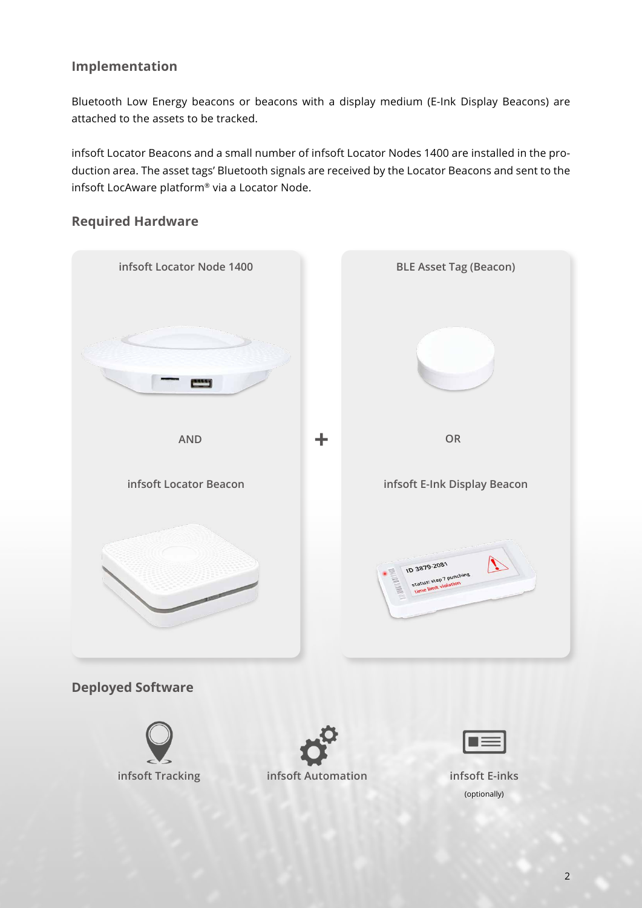## **Implementation**

Bluetooth Low Energy beacons or beacons with a display medium (E-Ink Display Beacons) are attached to the assets to be tracked.

infsoft Locator Beacons and a small number of infsoft Locator Nodes 1400 are installed in the production area. The asset tags' Bluetooth signals are received by the Locator Beacons and sent to the infsoft LocAware platform® via a Locator Node.

#### **Required Hardware**